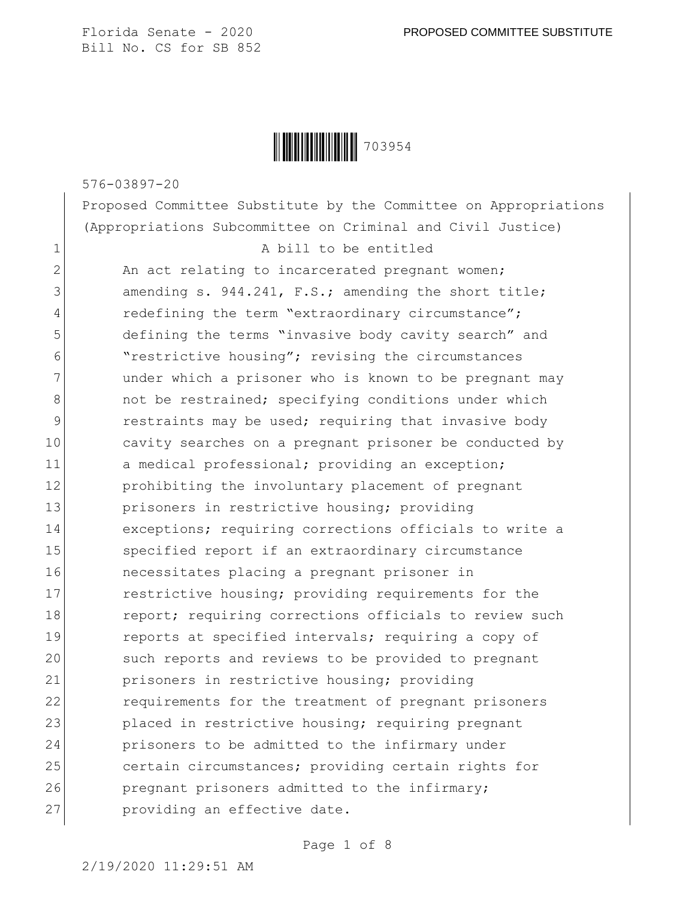

576-03897-20

Proposed Committee Substitute by the Committee on Appropriations (Appropriations Subcommittee on Criminal and Civil Justice)

 $2$  An act relating to incarcerated pregnant women; 3 amending s. 944.241, F.S.; amending the short title; 4 redefining the term "extraordinary circumstance"; 5 defining the terms "invasive body cavity search" and 6 "restrictive housing"; revising the circumstances 7 and under which a prisoner who is known to be pregnant may 8 and the restrained; specifying conditions under which 9 **paramely** restraints may be used; requiring that invasive body 10 cavity searches on a pregnant prisoner be conducted by 11 a medical professional; providing an exception; 12 **prohibiting the involuntary placement of pregnant** 13 prisoners in restrictive housing; providing 14 exceptions; requiring corrections officials to write a 15 Specified report if an extraordinary circumstance 16 necessitates placing a pregnant prisoner in 17 restrictive housing; providing requirements for the 18 report; requiring corrections officials to review such 19 reports at specified intervals; requiring a copy of 20 such reports and reviews to be provided to pregnant 21 prisoners in restrictive housing; providing 22 **requirements for the treatment of pregnant prisoners** 23 placed in restrictive housing; requiring pregnant 24 prisoners to be admitted to the infirmary under 25 certain circumstances; providing certain rights for 26 pregnant prisoners admitted to the infirmary; 27 providing an effective date.

Page 1 of 8

2/19/2020 11:29:51 AM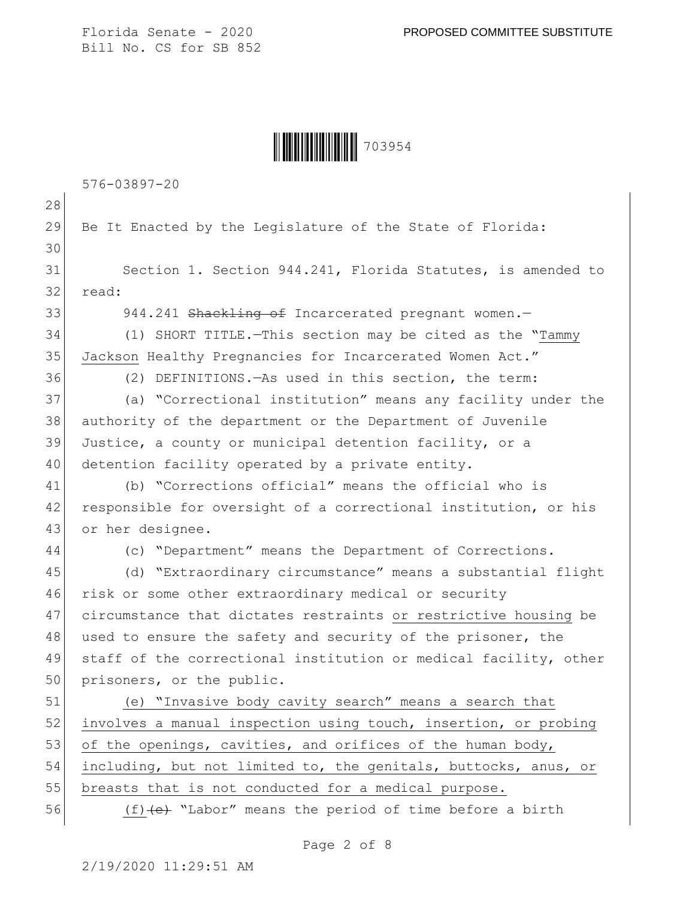Ì703954:Î703954

576-03897-20 28 29 Be It Enacted by the Legislature of the State of Florida: 30 31 Section 1. Section 944.241, Florida Statutes, is amended to 32 read: 33 944.241 Shackling of Incarcerated pregnant women.— 34 (1) SHORT TITLE.—This section may be cited as the "Tammy 35 Jackson Healthy Pregnancies for Incarcerated Women Act." 36 (2) DEFINITIONS.—As used in this section, the term: 37 (a) "Correctional institution" means any facility under the 38 authority of the department or the Department of Juvenile 39 Justice, a county or municipal detention facility, or a 40 detention facility operated by a private entity. 41 (b) "Corrections official" means the official who is 42 responsible for oversight of a correctional institution, or his 43 or her designee. 44 (c) "Department" means the Department of Corrections. 45 (d) "Extraordinary circumstance" means a substantial flight 46 risk or some other extraordinary medical or security 47 circumstance that dictates restraints or restrictive housing be 48 used to ensure the safety and security of the prisoner, the 49 staff of the correctional institution or medical facility, other 50 prisoners, or the public. 51 (e) "Invasive body cavity search" means a search that 52 involves a manual inspection using touch, insertion, or probing 53 of the openings, cavities, and orifices of the human body, 54 including, but not limited to, the genitals, buttocks, anus, or 55 breasts that is not conducted for a medical purpose. 56 (f)<del>(e)</del> "Labor" means the period of time before a birth

Page 2 of 8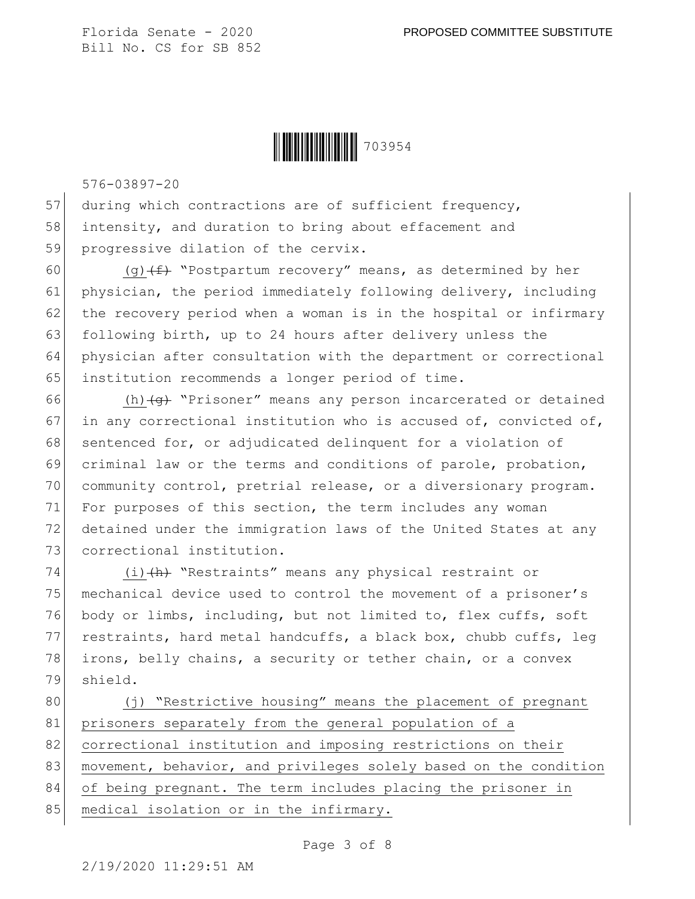

576-03897-20

57 during which contractions are of sufficient frequency, 58 intensity, and duration to bring about effacement and 59 progressive dilation of the cervix.

60 (g) $(f)$  "Postpartum recovery" means, as determined by her 61 physician, the period immediately following delivery, including  $62$  the recovery period when a woman is in the hospital or infirmary 63 following birth, up to 24 hours after delivery unless the 64 physician after consultation with the department or correctional 65 institution recommends a longer period of time.

66 (h) $\left( \frac{q}{q} \right)$  "Prisoner" means any person incarcerated or detained 67 in any correctional institution who is accused of, convicted of, 68 sentenced for, or adjudicated delinquent for a violation of 69 criminal law or the terms and conditions of parole, probation, 70 community control, pretrial release, or a diversionary program. 71 For purposes of this section, the term includes any woman 72 detained under the immigration laws of the United States at any 73 correctional institution.

74 (i) (h) "Restraints" means any physical restraint or 75 mechanical device used to control the movement of a prisoner's 76 body or limbs, including, but not limited to, flex cuffs, soft 77 restraints, hard metal handcuffs, a black box, chubb cuffs, leg 78 irons, belly chains, a security or tether chain, or a convex 79 shield.

80 (j) "Restrictive housing" means the placement of pregnant 81 prisoners separately from the general population of a 82 correctional institution and imposing restrictions on their 83 movement, behavior, and privileges solely based on the condition 84 of being pregnant. The term includes placing the prisoner in 85 | medical isolation or in the infirmary.

Page 3 of 8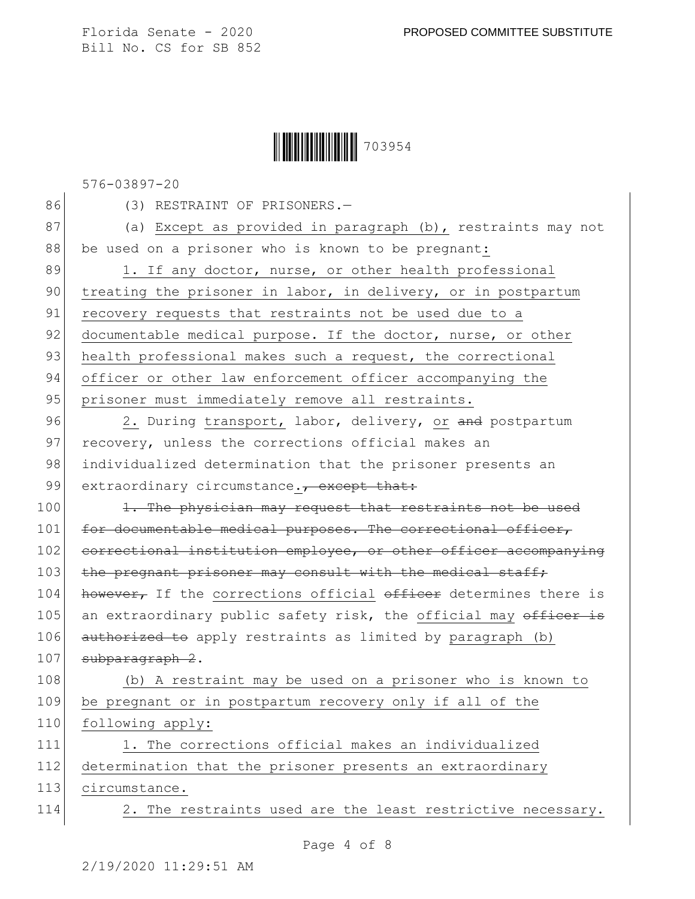## Ì703954:Î703954

576-03897-20

86 (3) RESTRAINT OF PRISONERS.-

87 (a) Except as provided in paragraph (b), restraints may not 88 be used on a prisoner who is known to be pregnant:

89 1. If any doctor, nurse, or other health professional 90 treating the prisoner in labor, in delivery, or in postpartum 91 recovery requests that restraints not be used due to a 92 documentable medical purpose. If the doctor, nurse, or other 93 health professional makes such a request, the correctional 94 officer or other law enforcement officer accompanying the 95 prisoner must immediately remove all restraints.

96 2. During transport, labor, delivery, or and postpartum 97 recovery, unless the corrections official makes an 98 individualized determination that the prisoner presents an 99 extraordinary circumstance., except that:

100 1. The physician may request that restraints not be used 101 for documentable medical purposes. The correctional officer, 102 correctional institution employee, or other officer accompanying 103 the pregnant prisoner may consult with the medical staff; 104 however, If the corrections official officer determines there is 105 an extraordinary public safety risk, the official may officer is 106 authorized to apply restraints as limited by paragraph (b) 107 subparagraph 2.

108 (b) A restraint may be used on a prisoner who is known to 109 be pregnant or in postpartum recovery only if all of the 110 following apply:

111 1. The corrections official makes an individualized 112 determination that the prisoner presents an extraordinary 113 circumstance.

114 2. The restraints used are the least restrictive necessary.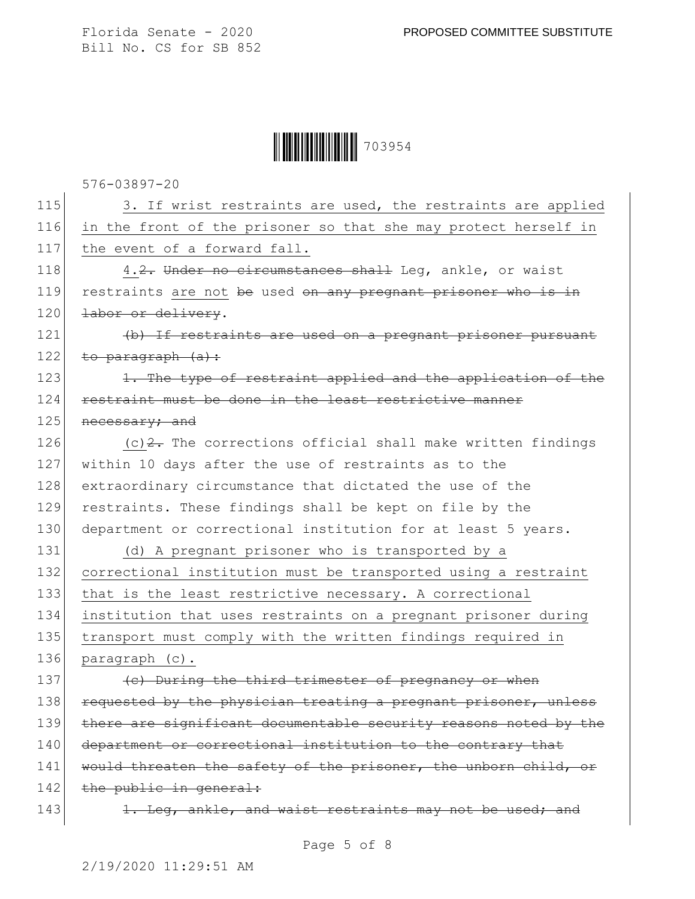Ì703954:Î703954

576-03897-20

115 3. If wrist restraints are used, the restraints are applied 116 in the front of the prisoner so that she may protect herself in 117 the event of a forward fall. 118 4.2. Under no circumstances shall Leq, ankle, or waist 119 restraints are not be used on any pregnant prisoner who is in 120 labor or delivery. 121 (b) If restraints are used on a pregnant prisoner pursuant 122 to paragraph  $(a):$ 123 1. The type of restraint applied and the application of the 124 restraint must be done in the least restrictive manner 125 necessary; and 126  $(c)$  2. The corrections official shall make written findings 127 within 10 days after the use of restraints as to the 128 extraordinary circumstance that dictated the use of the 129 restraints. These findings shall be kept on file by the 130 department or correctional institution for at least 5 years. 131 (d) A pregnant prisoner who is transported by a 132 correctional institution must be transported using a restraint 133 that is the least restrictive necessary. A correctional 134 institution that uses restraints on a pregnant prisoner during 135 transport must comply with the written findings required in 136 paragraph (c). 137 (e) During the third trimester of pregnancy or when 138 requested by the physician treating a pregnant prisoner, unless 139 there are significant documentable security reasons noted by the 140 department or correctional institution to the contrary that 141 would threaten the safety of the prisoner, the unborn child, or 142 the public in general: 143 143 1. Leg, ankle, and waist restraints may not be used; and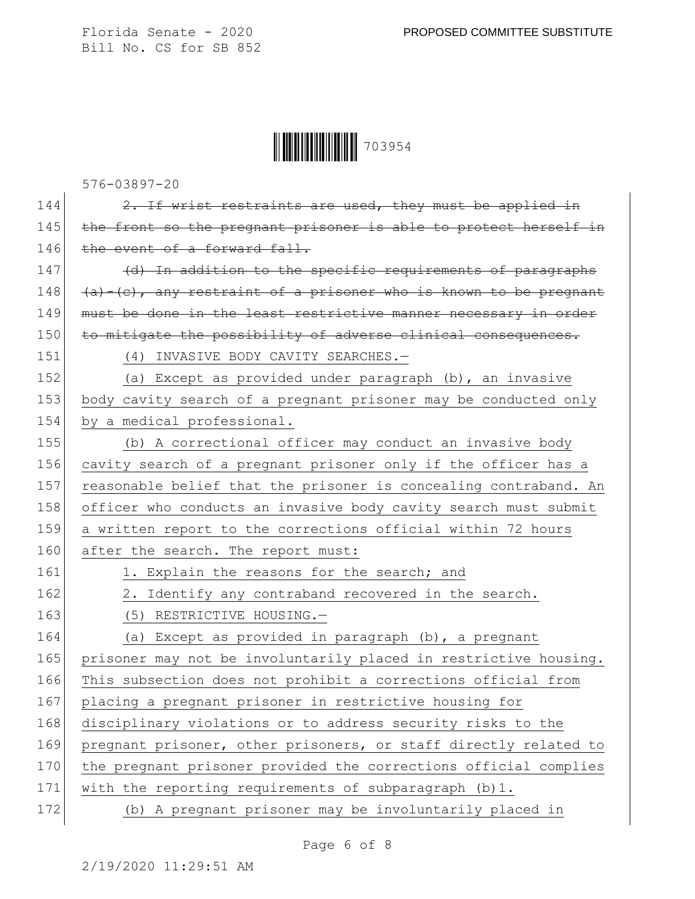Ì703954:Î703954

576-03897-20

144  $\sim$  2. If wrist restraints are used, they must be applied in 145 the front so the pregnant prisoner is able to protect herself in 146 the event of a forward fall. 147 (d) In addition to the specific requirements of paragraphs 148  $(a)$ -(c), any restraint of a prisoner who is known to be pregnant 149 must be done in the least restrictive manner necessary in order 150 to mitigate the possibility of adverse clinical consequences. 151 (4) INVASIVE BODY CAVITY SEARCHES.-152 (a) Except as provided under paragraph (b), an invasive 153 body cavity search of a pregnant prisoner may be conducted only 154 by a medical professional. 155 (b) A correctional officer may conduct an invasive body 156 cavity search of a pregnant prisoner only if the officer has a 157 reasonable belief that the prisoner is concealing contraband. An 158 officer who conducts an invasive body cavity search must submit 159 a written report to the corrections official within 72 hours 160 after the search. The report must: 161 1. Explain the reasons for the search; and 162 2. Identify any contraband recovered in the search. 163 (5) RESTRICTIVE HOUSING. 164 (a) Except as provided in paragraph (b), a pregnant 165 prisoner may not be involuntarily placed in restrictive housing. 166 This subsection does not prohibit a corrections official from 167 placing a pregnant prisoner in restrictive housing for 168 disciplinary violations or to address security risks to the 169 pregnant prisoner, other prisoners, or staff directly related to 170 the pregnant prisoner provided the corrections official complies 171 with the reporting requirements of subparagraph (b)1. 172 (b) A pregnant prisoner may be involuntarily placed in

Page 6 of 8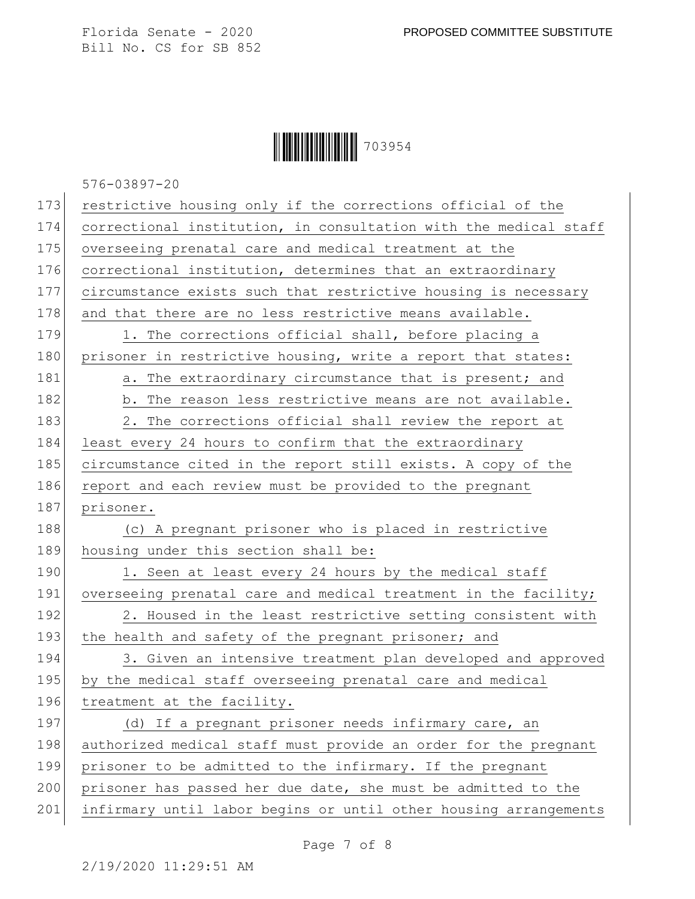## **|| ||| ||| ||| ||| ||| ||| |||** 703954

576-03897-20

| 173 | restrictive housing only if the corrections official of the      |
|-----|------------------------------------------------------------------|
| 174 | correctional institution, in consultation with the medical staff |
| 175 | overseeing prenatal care and medical treatment at the            |
| 176 | correctional institution, determines that an extraordinary       |
| 177 | circumstance exists such that restrictive housing is necessary   |
| 178 | and that there are no less restrictive means available.          |
| 179 | 1. The corrections official shall, before placing a              |
| 180 | prisoner in restrictive housing, write a report that states:     |
| 181 | a. The extraordinary circumstance that is present; and           |
| 182 | b. The reason less restrictive means are not available.          |
| 183 | 2. The corrections official shall review the report at           |
| 184 | least every 24 hours to confirm that the extraordinary           |
| 185 | circumstance cited in the report still exists. A copy of the     |
| 186 | report and each review must be provided to the pregnant          |
| 187 | prisoner.                                                        |
| 188 | (c) A pregnant prisoner who is placed in restrictive             |
| 189 | housing under this section shall be:                             |
| 190 | 1. Seen at least every 24 hours by the medical staff             |
| 191 | overseeing prenatal care and medical treatment in the facility;  |
| 192 | 2. Housed in the least restrictive setting consistent with       |
| 193 | the health and safety of the pregnant prisoner; and              |
| 194 | 3. Given an intensive treatment plan developed and approved      |
| 195 | by the medical staff overseeing prenatal care and medical        |
| 196 | treatment at the facility.                                       |
| 197 | (d) If a pregnant prisoner needs infirmary care, an              |
| 198 | authorized medical staff must provide an order for the pregnant  |
| 199 | prisoner to be admitted to the infirmary. If the pregnant        |
| 200 | prisoner has passed her due date, she must be admitted to the    |
| 201 | infirmary until labor begins or until other housing arrangements |

Page 7 of 8